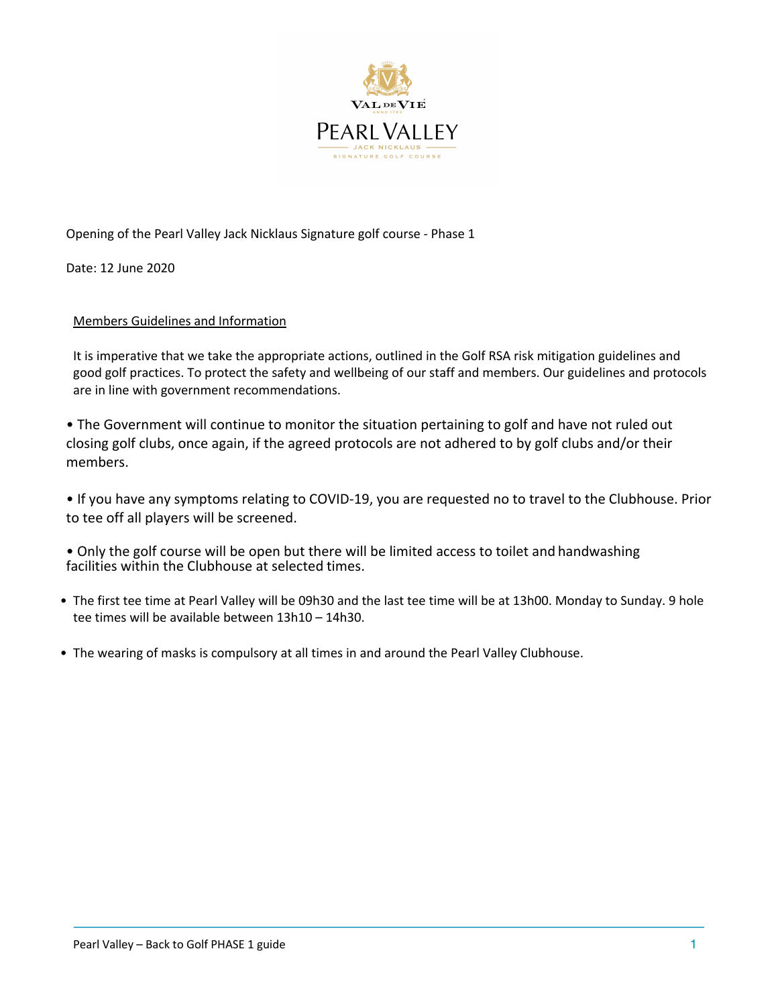

# Opening of the Pearl Valley Jack Nicklaus Signature golf course - Phase 1

Date: 12 June 2020

# Members Guidelines and Information

It is imperative that we take the appropriate actions, outlined in the Golf RSA risk mitigation guidelines and good golf practices. To protect the safety and wellbeing of our staff and members. Our guidelines and protocols are in line with government recommendations.

• The Government will continue to monitor the situation pertaining to golf and have not ruled out closing golf clubs, once again, if the agreed protocols are not adhered to by golf clubs and/or their members.

• If you have any symptoms relating to COVID-19, you are requested no to travel to the Clubhouse. Prior to tee off all players will be screened.

• Only the golf course will be open but there will be limited access to toilet and handwashing facilities within the Clubhouse at selected times.

- The first tee time at Pearl Valley will be 09h30 and the last tee time will be at 13h00. Monday to Sunday. 9 hole tee times will be available between 13h10 – 14h30.
- The wearing of masks is compulsory at all times in and around the Pearl Valley Clubhouse.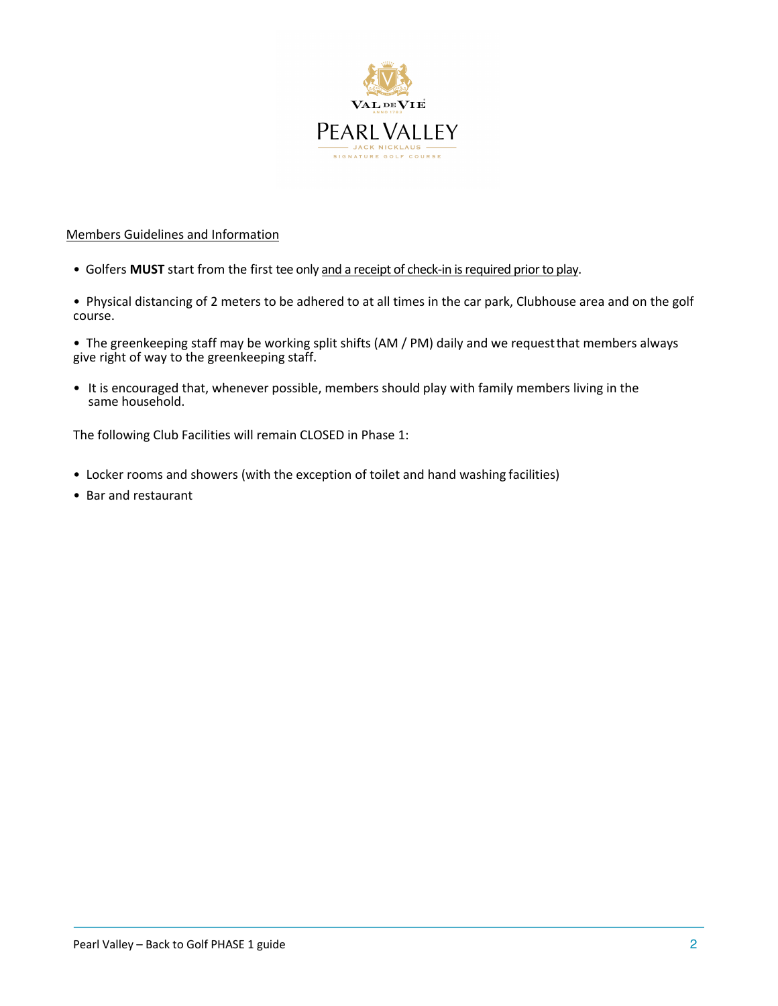

# Members Guidelines and Information

- Golfers **MUST** start from the first tee only and a receipt of check-in is required prior to play.
- Physical distancing of 2 meters to be adhered to at all times in the car park, Clubhouse area and on the golf course.
- The greenkeeping staff may be working split shifts (AM / PM) daily and we requestthat members always give right of way to the greenkeeping staff.
- It is encouraged that, whenever possible, members should play with family members living in the same household.

The following Club Facilities will remain CLOSED in Phase 1:

- Locker rooms and showers (with the exception of toilet and hand washing facilities)
- Bar and restaurant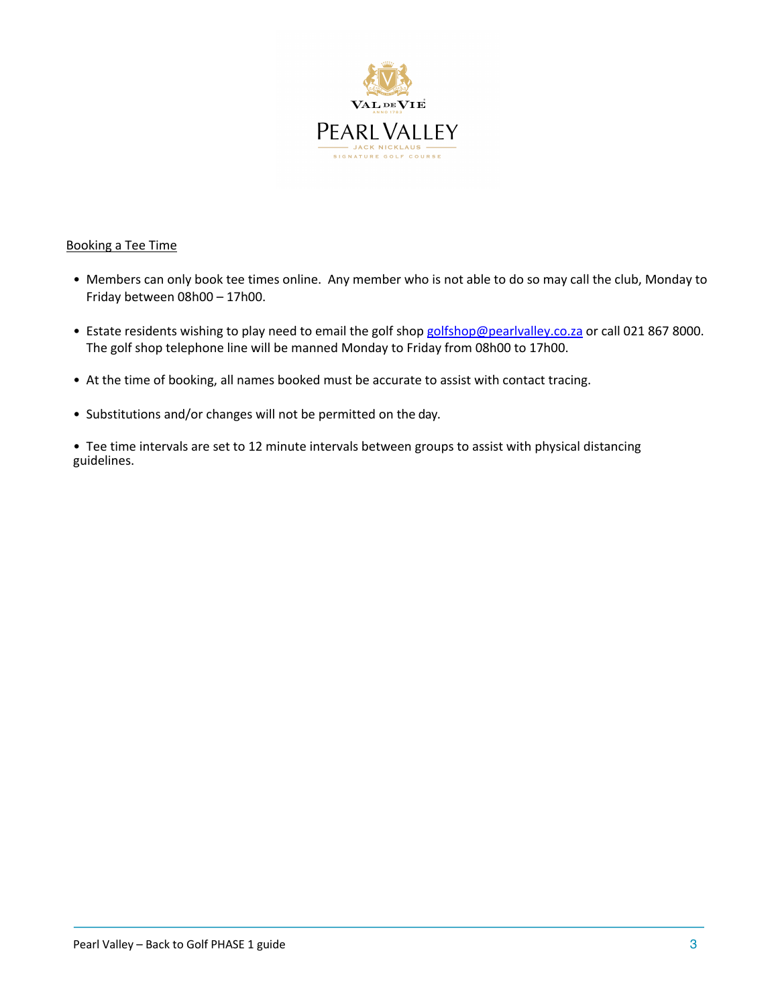

### Booking a Tee Time

- Members can only book tee times online. Any member who is not able to do so may call the club, Monday to Friday between 08h00 – 17h00.
- Estate residents wishing to play need to email the golf shop golfshop@pearlvalley.co.za or call 021 867 8000. The golf shop telephone line will be manned Monday to Friday from 08h00 to 17h00.
- At the time of booking, all names booked must be accurate to assist with contact tracing.
- Substitutions and/or changes will not be permitted on the day.

• Tee time intervals are set to 12 minute intervals between groups to assist with physical distancing guidelines.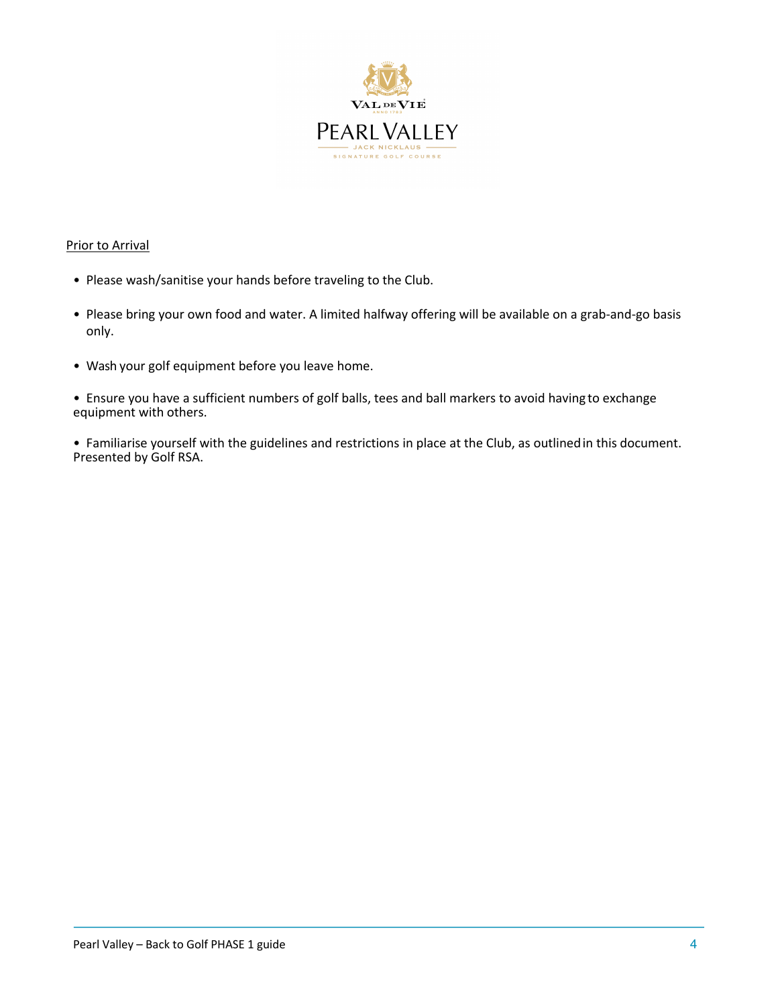

### Prior to Arrival

- Please wash/sanitise your hands before traveling to the Club.
- Please bring your own food and water. A limited halfway offering will be available on a grab-and-go basis only.
- Wash your golf equipment before you leave home.

• Ensure you have a sufficient numbers of golf balls, tees and ball markers to avoid having to exchange equipment with others.

• Familiarise yourself with the guidelines and restrictions in place at the Club, as outlinedin this document. Presented by Golf RSA.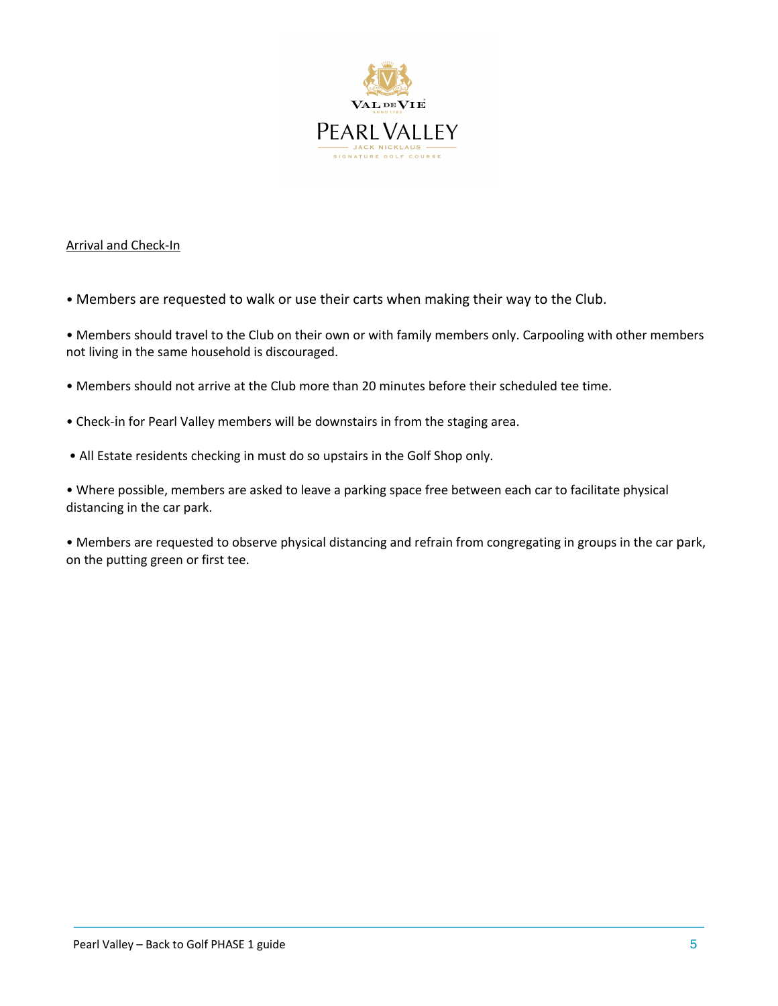

### Arrival and Check-In

• Members are requested to walk or use their carts when making their way to the Club.

• Members should travel to the Club on their own or with family members only. Carpooling with other members not living in the same household is discouraged.

- Members should not arrive at the Club more than 20 minutes before their scheduled tee time.
- Check-in for Pearl Valley members will be downstairs in from the staging area.
- All Estate residents checking in must do so upstairs in the Golf Shop only.

• Where possible, members are asked to leave a parking space free between each car to facilitate physical distancing in the car park.

• Members are requested to observe physical distancing and refrain from congregating in groups in the car park, on the putting green or first tee.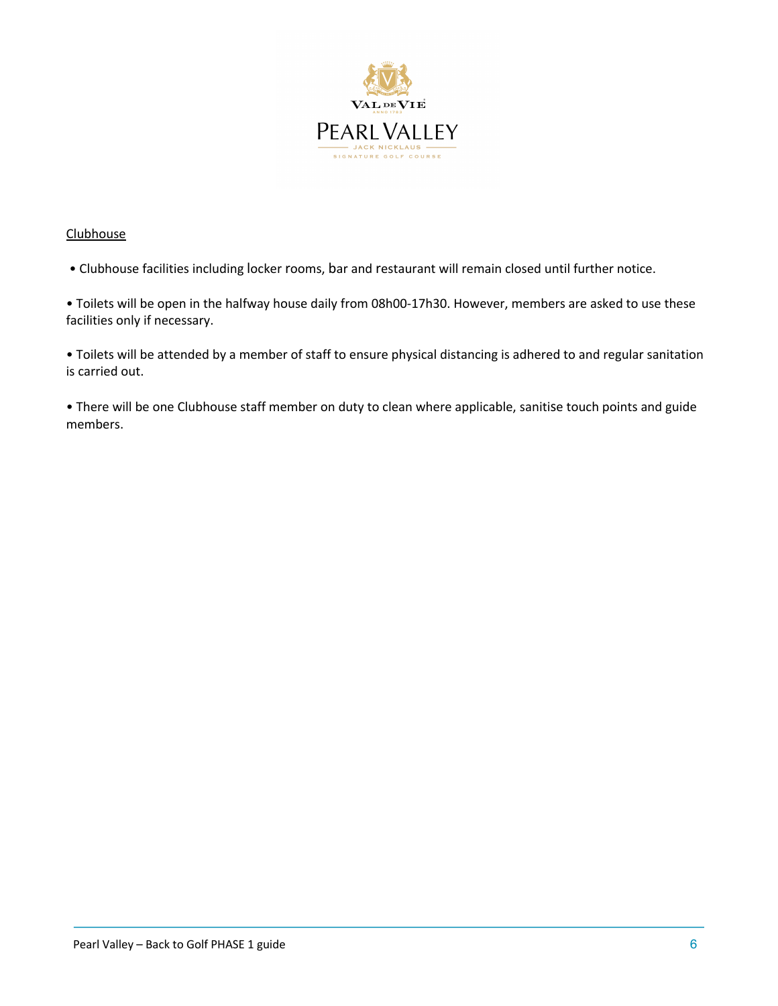

### **Clubhouse**

• Clubhouse facilities including locker rooms, bar and restaurant will remain closed until further notice.

• Toilets will be open in the halfway house daily from 08h00-17h30. However, members are asked to use these facilities only if necessary.

• Toilets will be attended by a member of staff to ensure physical distancing is adhered to and regular sanitation is carried out.

• There will be one Clubhouse staff member on duty to clean where applicable, sanitise touch points and guide members.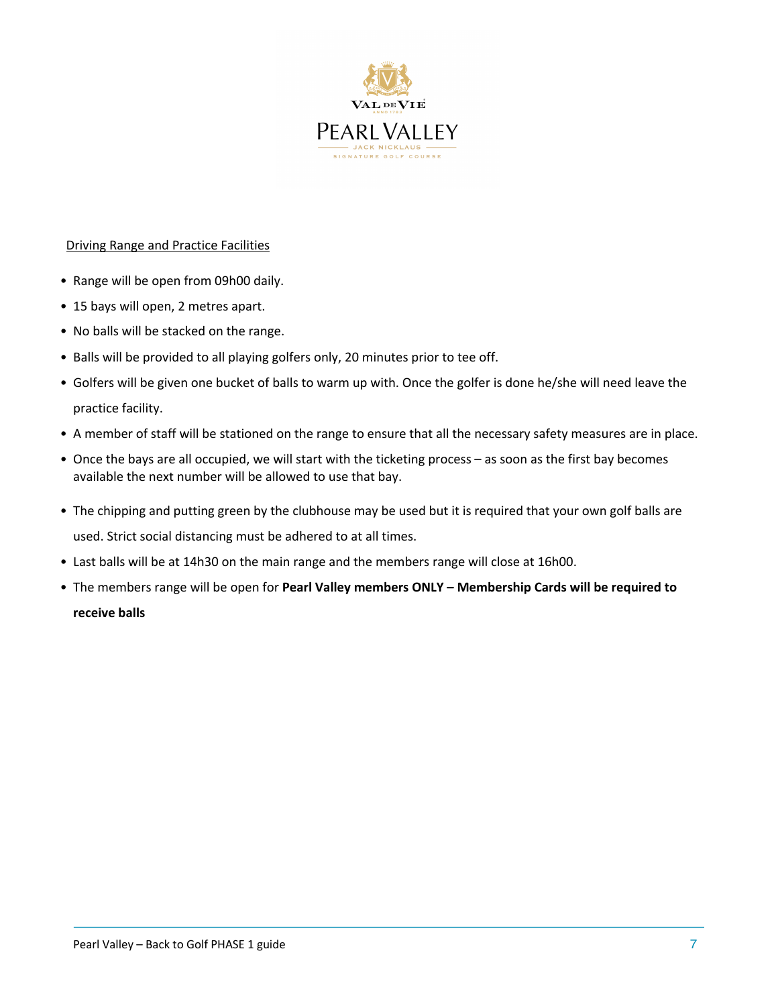

# Driving Range and Practice Facilities

- Range will be open from 09h00 daily.
- 15 bays will open, 2 metres apart.
- No balls will be stacked on the range.
- Balls will be provided to all playing golfers only, 20 minutes prior to tee off.
- Golfers will be given one bucket of balls to warm up with. Once the golfer is done he/she will need leave the practice facility.
- A member of staff will be stationed on the range to ensure that all the necessary safety measures are in place.
- Once the bays are all occupied, we will start with the ticketing process as soon as the first bay becomes available the next number will be allowed to use that bay.
- The chipping and putting green by the clubhouse may be used but it is required that your own golf balls are used. Strict social distancing must be adhered to at all times.
- Last balls will be at 14h30 on the main range and the members range will close at 16h00.
- The members range will be open for **Pearl Valley members ONLY – Membership Cards will be required to receive balls**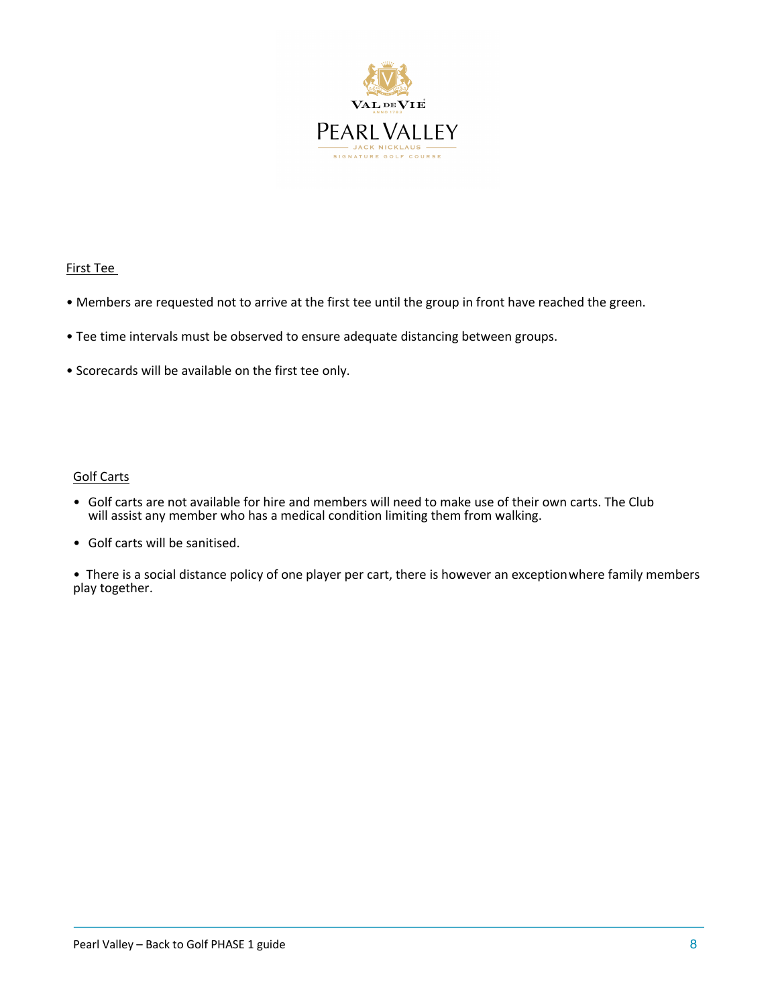

### First Tee

- Members are requested not to arrive at the first tee until the group in front have reached the green.
- Tee time intervals must be observed to ensure adequate distancing between groups.
- Scorecards will be available on the first tee only.

#### Golf Carts

- Golf carts are not available for hire and members will need to make use of their own carts. The Club will assist any member who has a medical condition limiting them from walking.
- Golf carts will be sanitised.

• There is a social distance policy of one player per cart, there is however an exceptionwhere family members play together.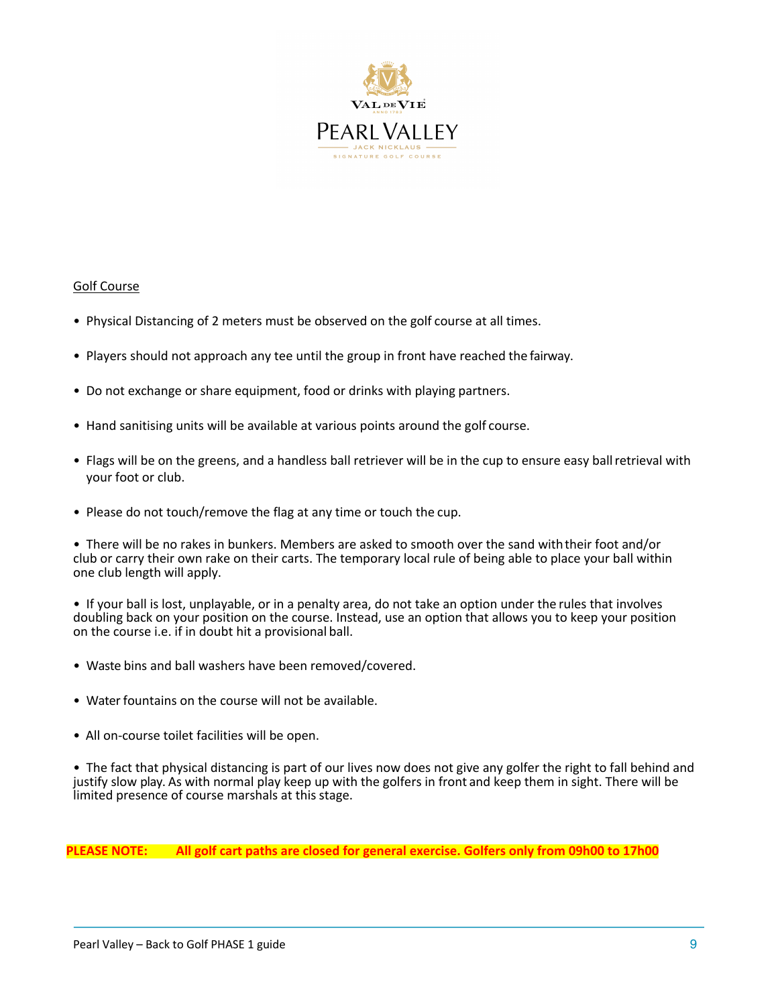

#### Golf Course

- Physical Distancing of 2 meters must be observed on the golf course at all times.
- Players should not approach any tee until the group in front have reached the fairway.
- Do not exchange or share equipment, food or drinks with playing partners.
- Hand sanitising units will be available at various points around the golf course.
- Flags will be on the greens, and a handless ball retriever will be in the cup to ensure easy ballretrieval with your foot or club.
- Please do not touch/remove the flag at any time or touch the cup.

• There will be no rakes in bunkers. Members are asked to smooth over the sand withtheir foot and/or club or carry their own rake on their carts. The temporary local rule of being able to place your ball within one club length will apply.

• If your ball is lost, unplayable, or in a penalty area, do not take an option under the rules that involves doubling back on your position on the course. Instead, use an option that allows you to keep your position on the course i.e. if in doubt hit a provisional ball.

- Waste bins and ball washers have been removed/covered.
- Water fountains on the course will not be available.
- All on-course toilet facilities will be open.

• The fact that physical distancing is part of our lives now does not give any golfer the right to fall behind and justify slow play. As with normal play keep up with the golfers in front and keep them in sight. There will be limited presence of course marshals at this stage.

**PLEASE NOTE: All golf cart paths are closed for general exercise. Golfers only from 09h00 to 17h00**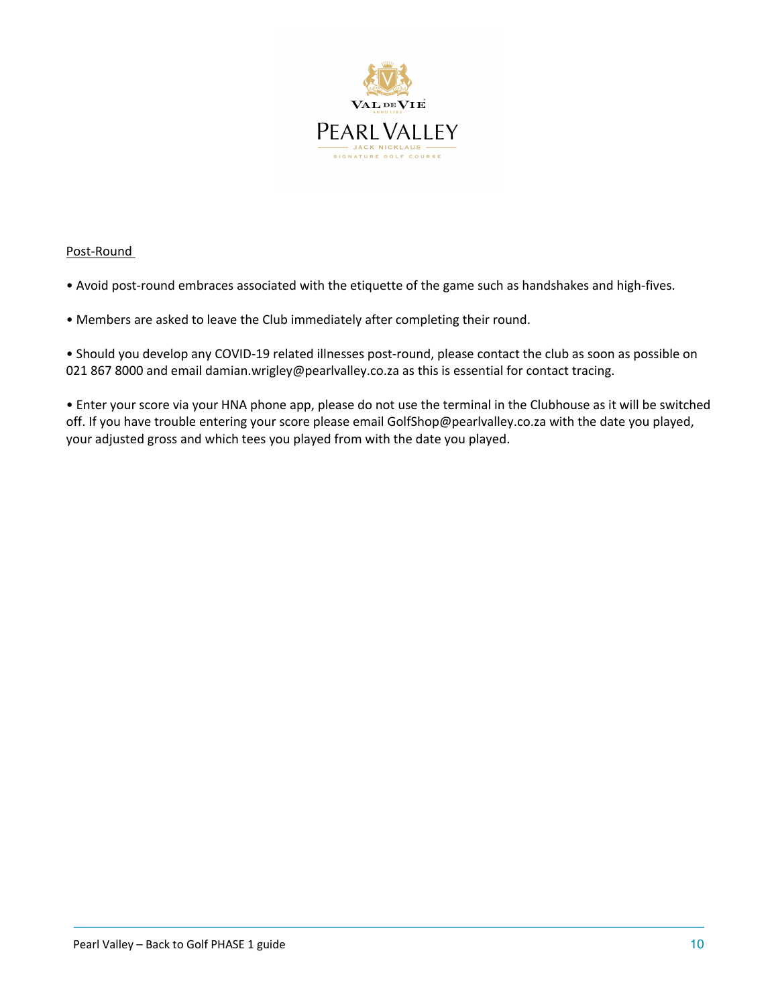

# Post-Round

• Avoid post-round embraces associated with the etiquette of the game such as handshakes and high-fives.

# • Members are asked to leave the Club immediately after completing their round.

• Should you develop any COVID-19 related illnesses post-round, please contact the club as soon as possible on 021 867 8000 and email damian.wrigley@pearlvalley.co.za as this is essential for contact tracing.

• Enter your score via your HNA phone app, please do not use the terminal in the Clubhouse as it will be switched off. If you have trouble entering your score please email GolfShop@pearlvalley.co.za with the date you played, your adjusted gross and which tees you played from with the date you played.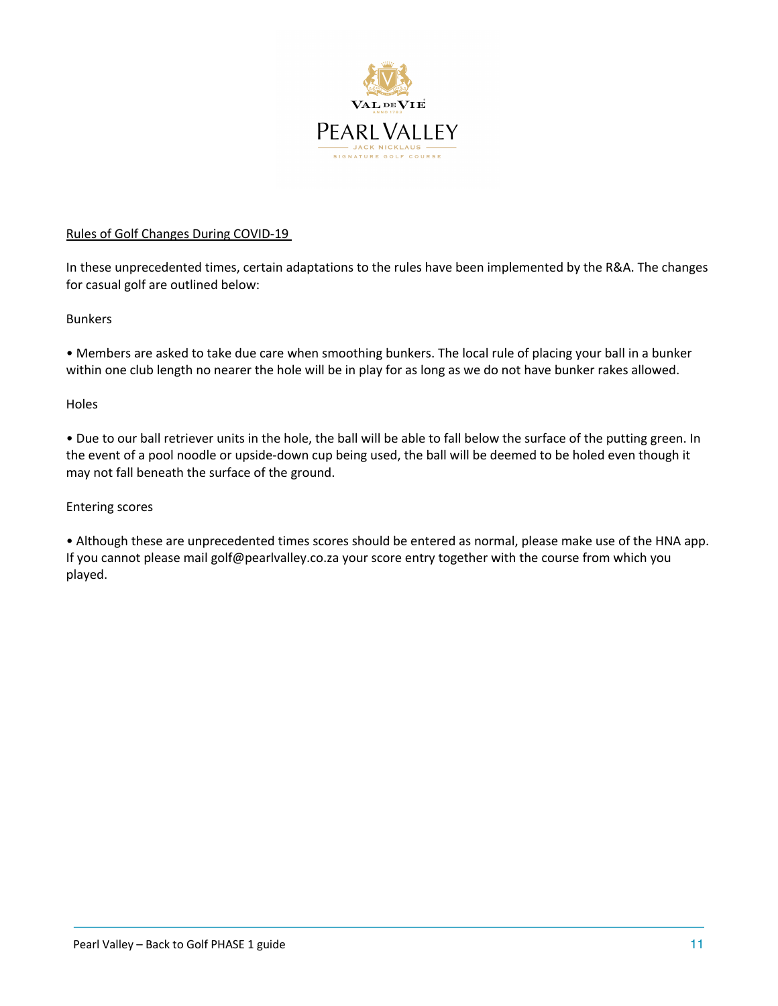

# Rules of Golf Changes During COVID-19

In these unprecedented times, certain adaptations to the rules have been implemented by the R&A. The changes for casual golf are outlined below:

### Bunkers

• Members are asked to take due care when smoothing bunkers. The local rule of placing your ball in a bunker within one club length no nearer the hole will be in play for as long as we do not have bunker rakes allowed.

### **Holes**

• Due to our ball retriever units in the hole, the ball will be able to fall below the surface of the putting green. In the event of a pool noodle or upside-down cup being used, the ball will be deemed to be holed even though it may not fall beneath the surface of the ground.

### Entering scores

• Although these are unprecedented times scores should be entered as normal, please make use of the HNA app. If you cannot please mail golf@pearlvalley.co.za your score entry together with the course from which you played.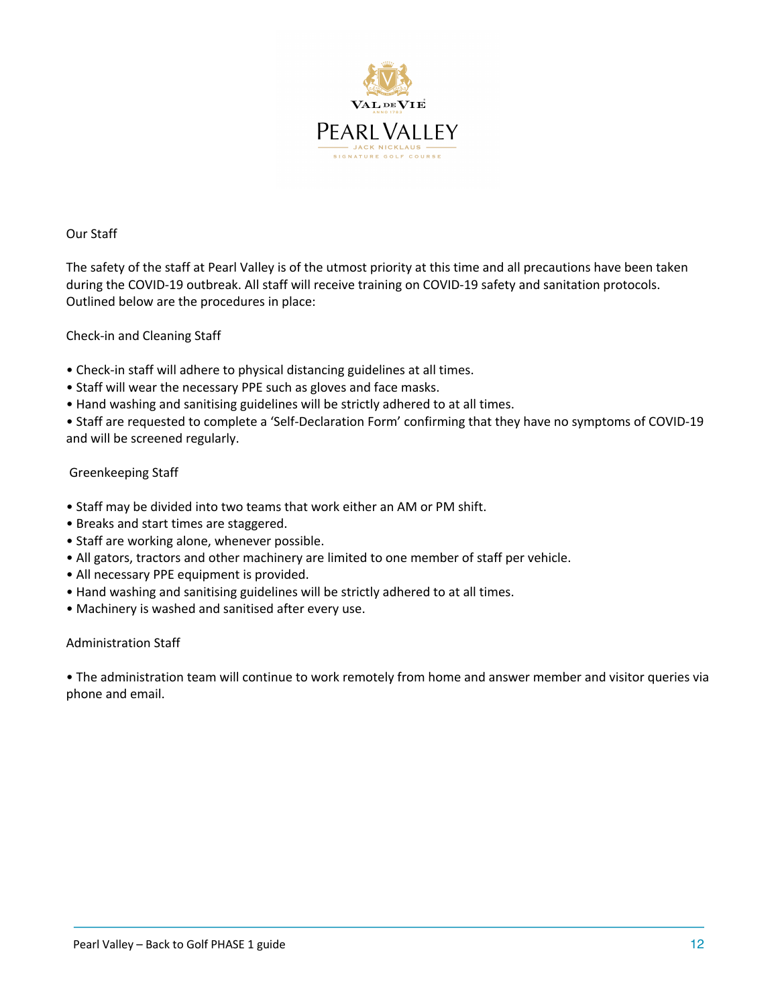

### Our Staff

The safety of the staff at Pearl Valley is of the utmost priority at this time and all precautions have been taken during the COVID-19 outbreak. All staff will receive training on COVID-19 safety and sanitation protocols. Outlined below are the procedures in place:

### Check-in and Cleaning Staff

- Check-in staff will adhere to physical distancing guidelines at all times.
- Staff will wear the necessary PPE such as gloves and face masks.
- Hand washing and sanitising guidelines will be strictly adhered to at all times.

• Staff are requested to complete a 'Self-Declaration Form' confirming that they have no symptoms of COVID-19 and will be screened regularly.

### Greenkeeping Staff

- Staff may be divided into two teams that work either an AM or PM shift.
- Breaks and start times are staggered.
- Staff are working alone, whenever possible.
- All gators, tractors and other machinery are limited to one member of staff per vehicle.
- All necessary PPE equipment is provided.
- Hand washing and sanitising guidelines will be strictly adhered to at all times.
- Machinery is washed and sanitised after every use.

### Administration Staff

• The administration team will continue to work remotely from home and answer member and visitor queries via phone and email.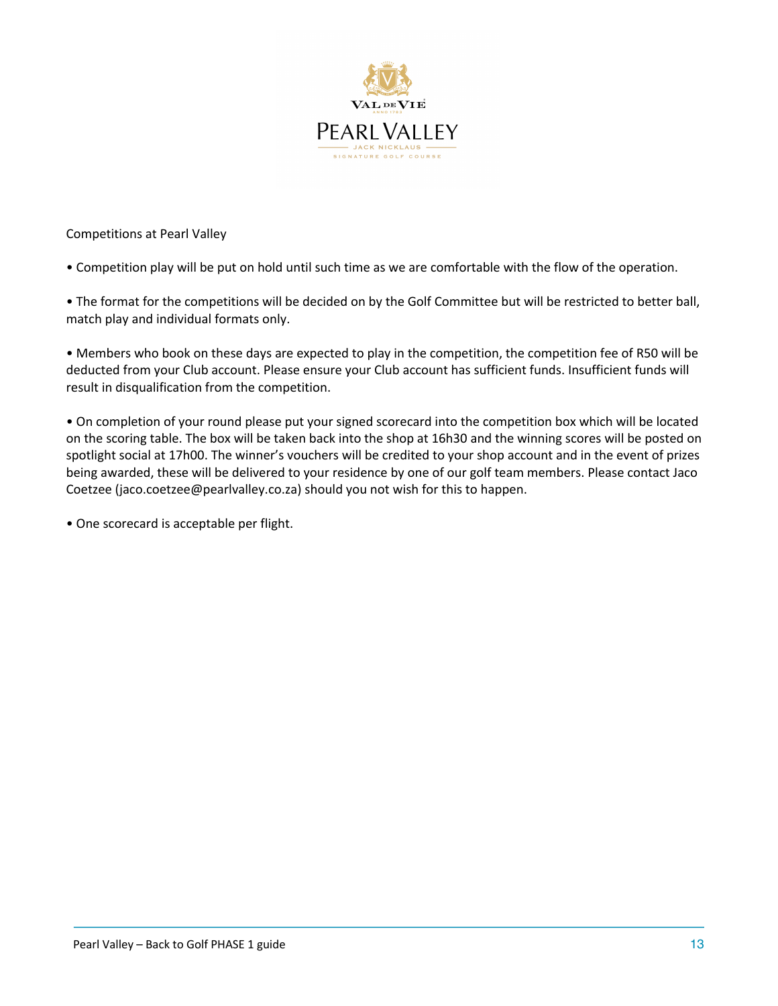

Competitions at Pearl Valley

• Competition play will be put on hold until such time as we are comfortable with the flow of the operation.

• The format for the competitions will be decided on by the Golf Committee but will be restricted to better ball, match play and individual formats only.

• Members who book on these days are expected to play in the competition, the competition fee of R50 will be deducted from your Club account. Please ensure your Club account has sufficient funds. Insufficient funds will result in disqualification from the competition.

• On completion of your round please put your signed scorecard into the competition box which will be located on the scoring table. The box will be taken back into the shop at 16h30 and the winning scores will be posted on spotlight social at 17h00. The winner's vouchers will be credited to your shop account and in the event of prizes being awarded, these will be delivered to your residence by one of our golf team members. Please contact Jaco Coetzee (jaco.coetzee@pearlvalley.co.za) should you not wish for this to happen.

• One scorecard is acceptable per flight.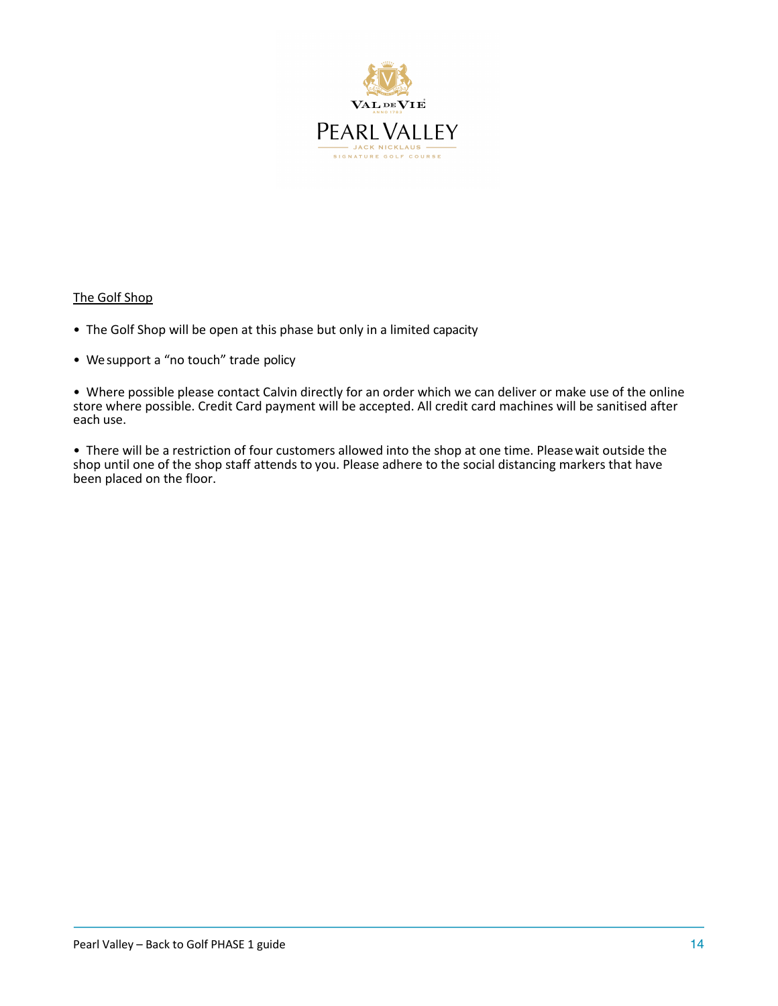

#### The Golf Shop

- The Golf Shop will be open at this phase but only in a limited capacity
- We support a "no touch" trade policy

• Where possible please contact Calvin directly for an order which we can deliver or make use of the online store where possible. Credit Card payment will be accepted. All credit card machines will be sanitised after each use.

• There will be a restriction of four customers allowed into the shop at one time. Pleasewait outside the shop until one of the shop staff attends to you. Please adhere to the social distancing markers that have been placed on the floor.